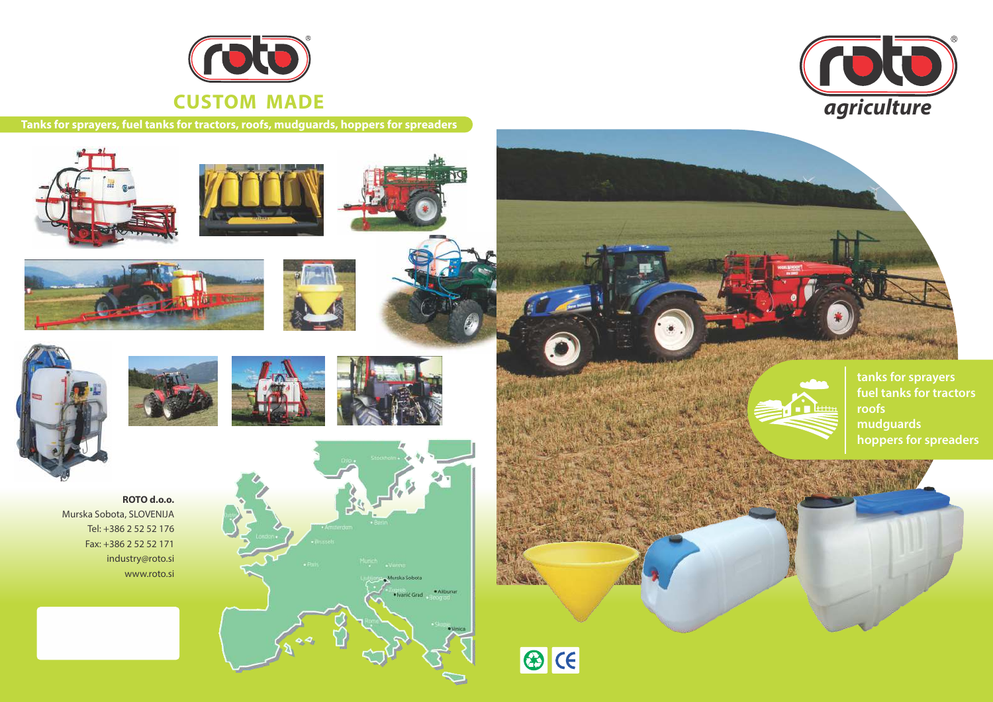





**tanks for sprayers fuel tanks for tractors roofs mudguards hoppers for spreaders**

**Tanks for sprayers, fuel tanks for tractors, roofs, mudguards, hoppers for spreaders**





























### **ROTO d.o.o.** Murska Sobota, SLOVENIJA Tel: +386 2 52 52 176 Fax: +386 2 52 52 171 industry@roto.si www.roto.si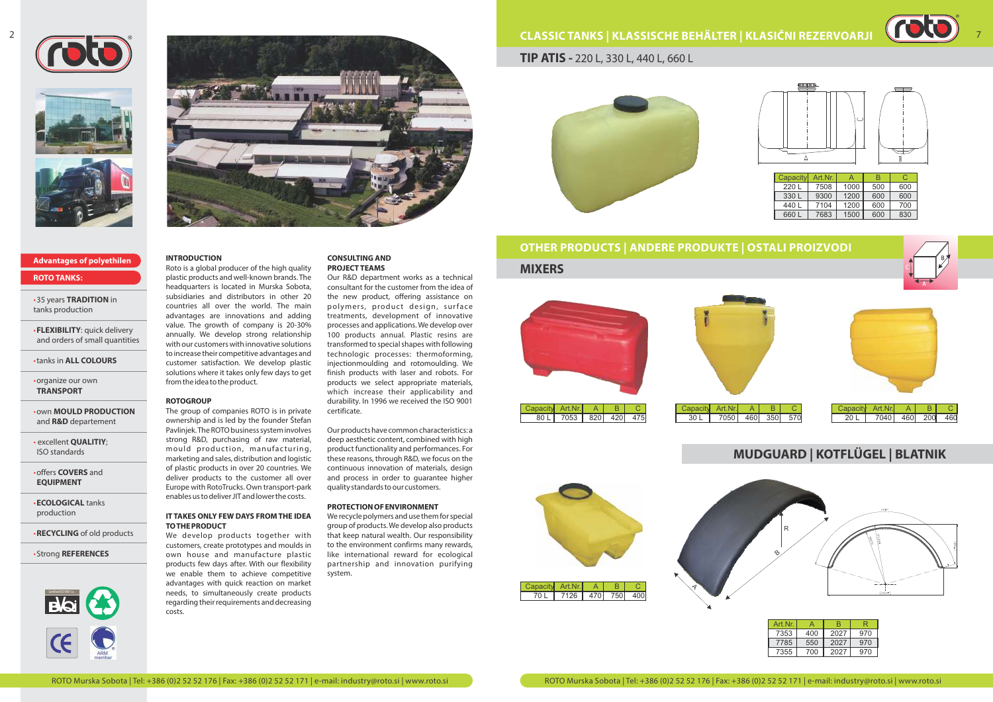#### **INTRODUCTION**

Roto is a global producer of the high quality plastic products and well-known brands. The headquarters is located in Murska Sobota, subsidiaries and distributors in other 20 countries all over the world. The main advantages are innovations and adding value. The growth of company is 20-30% annually. We develop strong relationship with our customers with innovative solutions to increase their competitive advantages and customer satisfaction. We develop plastic solutions where it takes only few days to get from the idea to the product.

#### **ROTOGROUP**

We develop products together with customers, create prototypes and moulds in own house and manufacture plastic products few days after. With our flexibility we enable them to achieve competitive advantages with quick reaction on market needs, to simultaneously create products regarding their requirements and decreasing costs.

The group of companies ROTO is in private ownership and is led by the founder Štefan Pavlinjek. The ROTO business system involves strong R&D, purchasing of raw material, mould production, manufacturing, marketing and sales, distribution and logistic of plastic products in over 20 countries. We deliver products to the customer all over Europe with RotoTrucks. Own transport-park enables us to deliver JIT and lower the costs.

#### **IT TAKES ONLY FEW DAYS FROM THE IDEA TO THE PRODUCT**

#### **CONSULTING AND PROJECT TEAMS**

Our R&D department works as a technical consultant for the customer from the idea of the new product, offering assistance on polymers, product design, surface treatments, development of innovative processes and applications. We develop over 100 products annual. Plastic resins are transformed to special shapes with following technologic processes: thermoforming, injectionmoulding and rotomoulding. We finish products with laser and robots. For products we select appropriate materials, which increase their applicability and durability. In 1996 we received the ISO 9001 certificate.

Our products have common characteristics: a deep aesthetic content, combined with high product functionality and performances. For these reasons, through R&D, we focus on the continuous innovation of materials, design and process in order to guarantee higher quality standards to our customers.

#### **PROTECTION OF ENVIRONMENT**

We recycle polymers and use them for special group of products. We develop also products that keep natural wealth. Our responsibility to the environment confirms many rewards, like international reward for ecological partnership and innovation purifying system.

• 35 years **TRADITION** in tanks production

• **FLEXIBILITY**: quick delivery and orders of small quantities

• tanks in **ALL COLOURS**

• organize our own **TRANSPORT**

• own **MOULD PRODUCTION** and **R&D** departement

• excellent **QUALITIY**; ISO standards

• offers **COVERS** and **EQUIPMENT**

• **ECOLOGICAL** tanks production

• **RECYCLING** of old products

• Strong **REFERENCES**









#### **Advantages of polyethilen**

**ROTO TANKS:**



**TIP ATIS -** 220 L, 330 L, 440 L, 660 L



| <b>Capacity</b> | Art.Nr. | д    | R   |     |
|-----------------|---------|------|-----|-----|
| 220 L           | 7508    | 1000 | 500 | 600 |
| 330 L           | 9300    | 1200 | 600 | 600 |
| 440 L           | 7104    | 1200 | 600 | 700 |
| 660 L           | 7683    | 1500 | 600 | 830 |



# **OTHER PRODUCTS | ANDERE PRODUKTE | OSTALI PROIZVODI MIXERS**





# **MUDGUARD | KOTFLÜGEL | BLATNIK**



| Art Nr |     |      |     |
|--------|-----|------|-----|
| 7353   | 400 | 2027 | 970 |
| 7785   | 550 | 2027 | 970 |
| 7355   | 700 | 2027 | 970 |



7



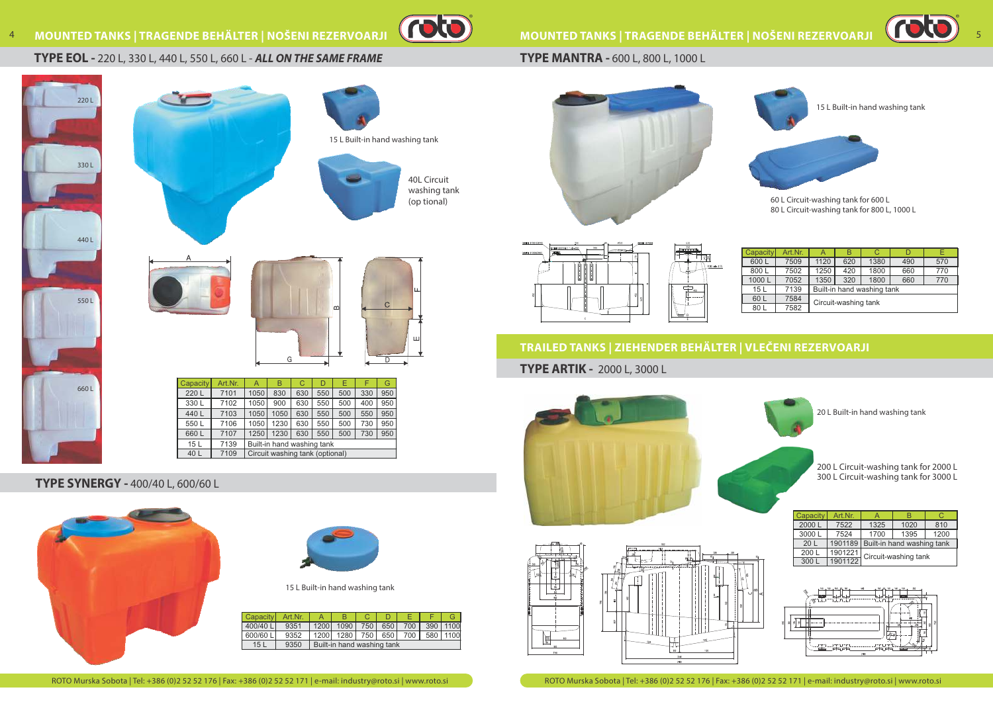$\blacktriangleleft$  $\mathbf{r}$ C



### **TYPE EOL -** 220 L, 330 L, 440 L, 550 L, 660 L - **ALL ON THE SAME FRAME**



# **MOUNTED TANKS | TRAGENDE BEHÄLTER | NOŠENI REZERVOARJI**

## **TYPE MANTRA -** 600 L, 800 L, 1000 L

# **TRAILED TANKS | ZIEHENDER BEHÄLTER | VLEČENI REZERVOARJI**

**TYPE ARTIK -** 2000 L, 3000 L











| <b>Capacity</b> | Art.Nr. |                            | B   | C    |     |     |  |  |
|-----------------|---------|----------------------------|-----|------|-----|-----|--|--|
|                 |         |                            |     |      |     |     |  |  |
| 600L            | 7509    | 1120                       | 620 | 1380 | 490 | 570 |  |  |
| 800L            | 7502    | 1250                       | 420 | 1800 | 660 | 770 |  |  |
| 1000L           | 7052    | 1350                       | 320 | 1800 | 660 | 770 |  |  |
| 15L             | 7139    | Built-in hand washing tank |     |      |     |     |  |  |
| 60 L            | 7584    |                            |     |      |     |     |  |  |
| 80 L            | 7582    | Circuit-washing tank       |     |      |     |     |  |  |





60 L Circuit-washing tank for 600 L 80 L Circuit-washing tank for 800 L, 1000 L

15 L Built-in hand washing tank



20 L Built-in hand washing tank

## **TYPE SYNERGY -** 400/40 L, 600/60 L





| Capacity  | Art.Nr. |                            |                                            |  | D I |  |  |  |
|-----------|---------|----------------------------|--------------------------------------------|--|-----|--|--|--|
| 400/40 LI | 9351    |                            | 1200 1090 750 650 700 390 1100             |  |     |  |  |  |
| 600/60 LI | 9352    |                            | 1200   1280   750   650   700   580   1100 |  |     |  |  |  |
| 15 L      | 9350    | Built-in hand washing tank |                                            |  |     |  |  |  |





15 L Built-in hand washing tank

200 L Circuit-washing tank for 2000 L 300 L Circuit-washing tank for 3000 L

| Capacity        | Art.Nr. |                                    |      |      |  |  |
|-----------------|---------|------------------------------------|------|------|--|--|
| 2000L           | 7522    | 1325                               | 1020 | 810  |  |  |
| 3000L           | 7524    | 1700                               | 1395 | 1200 |  |  |
| 20 <sub>L</sub> |         | 1901189 Built-in hand washing tank |      |      |  |  |
| 200 L           | 1901221 |                                    |      |      |  |  |
| 300             | 1901122 | Circuit-washing tank               |      |      |  |  |